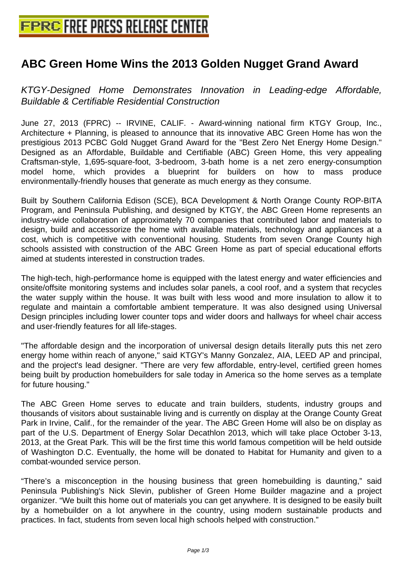# **[ABC Green Home Wins the 2013 G](http://www.free-press-release-center.info)olden Nugget Grand Award**

KTGY-Designed Home Demonstrates Innovation in Leading-edge Affordable, Buildable & Certifiable Residential Construction

June 27, 2013 (FPRC) -- IRVINE, CALIF. - Award-winning national firm KTGY Group, Inc., Architecture + Planning, is pleased to announce that its innovative ABC Green Home has won the prestigious 2013 PCBC Gold Nugget Grand Award for the "Best Zero Net Energy Home Design." Designed as an Affordable, Buildable and Certifiable (ABC) Green Home, this very appealing Craftsman-style, 1,695-square-foot, 3-bedroom, 3-bath home is a net zero energy-consumption model home, which provides a blueprint for builders on how to mass produce environmentally-friendly houses that generate as much energy as they consume.

Built by Southern California Edison (SCE), BCA Development & North Orange County ROP-BITA Program, and Peninsula Publishing, and designed by KTGY, the ABC Green Home represents an industry-wide collaboration of approximately 70 companies that contributed labor and materials to design, build and accessorize the home with available materials, technology and appliances at a cost, which is competitive with conventional housing. Students from seven Orange County high schools assisted with construction of the ABC Green Home as part of special educational efforts aimed at students interested in construction trades.

The high-tech, high-performance home is equipped with the latest energy and water efficiencies and onsite/offsite monitoring systems and includes solar panels, a cool roof, and a system that recycles the water supply within the house. It was built with less wood and more insulation to allow it to regulate and maintain a comfortable ambient temperature. It was also designed using Universal Design principles including lower counter tops and wider doors and hallways for wheel chair access and user-friendly features for all life-stages.

"The affordable design and the incorporation of universal design details literally puts this net zero energy home within reach of anyone," said KTGY's Manny Gonzalez, AIA, LEED AP and principal, and the project's lead designer. "There are very few affordable, entry-level, certified green homes being built by production homebuilders for sale today in America so the home serves as a template for future housing."

The ABC Green Home serves to educate and train builders, students, industry groups and thousands of visitors about sustainable living and is currently on display at the Orange County Great Park in Irvine, Calif., for the remainder of the year. The ABC Green Home will also be on display as part of the U.S. Department of Energy Solar Decathlon 2013, which will take place October 3-13, 2013, at the Great Park. This will be the first time this world famous competition will be held outside of Washington D.C. Eventually, the home will be donated to Habitat for Humanity and given to a combat-wounded service person.

"There's a misconception in the housing business that green homebuilding is daunting," said Peninsula Publishing's Nick Slevin, publisher of Green Home Builder magazine and a project organizer. "We built this home out of materials you can get anywhere. It is designed to be easily built by a homebuilder on a lot anywhere in the country, using modern sustainable products and practices. In fact, students from seven local high schools helped with construction."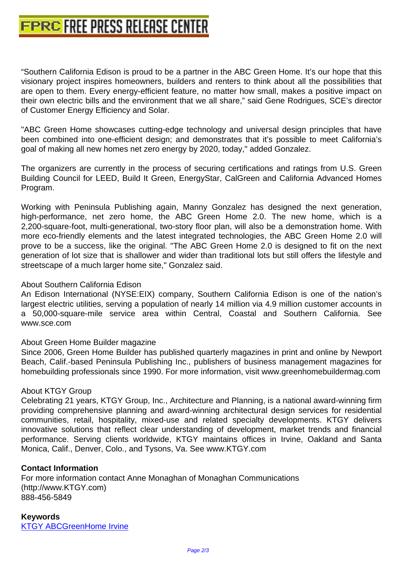["Southern California Edison is proud to be a partner](http://www.free-press-release-center.info) in the ABC Green Home. It's our hope that this visionary project inspires homeowners, builders and renters to think about all the possibilities that are open to them. Every energy-efficient feature, no matter how small, makes a positive impact on their own electric bills and the environment that we all share," said Gene Rodrigues, SCE's director of Customer Energy Efficiency and Solar.

"ABC Green Home showcases cutting-edge technology and universal design principles that have been combined into one-efficient design; and demonstrates that it's possible to meet California's goal of making all new homes net zero energy by 2020, today," added Gonzalez.

The organizers are currently in the process of securing certifications and ratings from U.S. Green Building Council for LEED, Build It Green, EnergyStar, CalGreen and California Advanced Homes Program.

Working with Peninsula Publishing again, Manny Gonzalez has designed the next generation, high-performance, net zero home, the ABC Green Home 2.0. The new home, which is a 2,200-square-foot, multi-generational, two-story floor plan, will also be a demonstration home. With more eco-friendly elements and the latest integrated technologies, the ABC Green Home 2.0 will prove to be a success, like the original. "The ABC Green Home 2.0 is designed to fit on the next generation of lot size that is shallower and wider than traditional lots but still offers the lifestyle and streetscape of a much larger home site," Gonzalez said.

# About Southern California Edison

An Edison International (NYSE:EIX) company, Southern California Edison is one of the nation's largest electric utilities, serving a population of nearly 14 million via 4.9 million customer accounts in a 50,000-square-mile service area within Central, Coastal and Southern California. See www.sce.com

### About Green Home Builder magazine

Since 2006, Green Home Builder has published quarterly magazines in print and online by Newport Beach, Calif.-based Peninsula Publishing Inc., publishers of business management magazines for homebuilding professionals since 1990. For more information, visit www.greenhomebuildermag.com

### About KTGY Group

Celebrating 21 years, KTGY Group, Inc., Architecture and Planning, is a national award-winning firm providing comprehensive planning and award-winning architectural design services for residential communities, retail, hospitality, mixed-use and related specialty developments. KTGY delivers innovative solutions that reflect clear understanding of development, market trends and financial performance. Serving clients worldwide, KTGY maintains offices in Irvine, Oakland and Santa Monica, Calif., Denver, Colo., and Tysons, Va. See www.KTGY.com

# **Contact Information**

For more information contact Anne Monaghan of Monaghan Communications (http://www.KTGY.com) 888-456-5849

**Keywords** KTGY ABCGreenHome Irvine